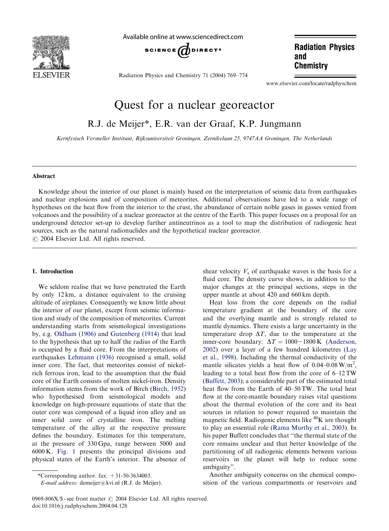

Available online at www.sciencedirect.com



Radiation Physics and Chemistry 71 (2004) 769–774

**Radiation Physics** and **Chemistry** 

www.elsevier.com/locate/radphyschem

# Quest for a nuclear georeactor

R.J. de Meijer\*, E.R. van der Graaf, K.P. Jungmann

Kernfysisch Versneller Instituut, Rijksuniversiteit Groningen, Zernikelaan 25, 9747AA Groningen, The Netherlands

# Abstract

Knowledge about the interior of our planet is mainly based on the interpretation of seismic data from earthquakes and nuclear explosions and of composition of meteorites.Additional observations have led to a wide range of hypotheses on the heat flow from the interior to the crust, the abundance of certain noble gases in gasses vented from volcanoes and the possibility of a nuclear georeactor at the centre of the Earth.This paper focuses on a proposal for an underground detector set-up to develop further antineutrinos as a tool to map the distribution of radiogenic heat sources, such as the natural radionuclides and the hypothetical nuclear georeactor.  $O$  2004 Elsevier Ltd. All rights reserved.

## 1. Introduction

We seldom realise that we have penetrated the Earth by only 12 km, a distance equivalent to the cruising altitude of airplanes.Consequently we know little about the interior of our planet, except from seismic information and study of the composition of meteorites.Current understanding starts from seismological investigations by, e.g. [Oldham \(1906\)](#page-5-0) and [Gutenberg \(1914\)](#page-5-0) that lead to the hypothesis that up to half the radius of the Earth is occupied by a fluid core. From the interpretations of earthquakes [Lehmann \(1936\)](#page-5-0) recognised a small, solid inner core. The fact, that meteorites consist of nickelrich ferrous iron, lead to the assumption that the fluid core of the Earth consists of molten nickel-iron. Density information stems from the work of Birch [\(Birch, 1952](#page-5-0)) who hypothesised from seismological models and knowledge on high-pressure equations of state that the outer core was composed of a liquid iron alloy and an inner solid core of crystalline iron. The melting temperature of the alloy at the respective pressure defines the boundary. Estimates for this temperature, at the pressure of 330 Gpa, range between 5000 and 6000 K. [Fig.1](#page-1-0) presents the principal divisions and physical states of the Earth's interior. The absence of

\*Corresponding author. fax:  $+31-50-3634003$ .

E-mail address: demeijer@kvi.nl (R.J. de Meijer).

shear velocity  $V_s$  of earthquake waves is the basis for a fluid core. The density curve shows, in addition to the major changes at the principal sections, steps in the upper mantle at about 420 and 660 km depth.

Heat loss from the core depends on the radial temperature gradient at the boundary of the core and the overlying mantle and is strongly related to mantle dynamics.There exists a large uncertainty in the temperature drop  $\Delta T$ , due to the temperature at the inner-core boundary:  $\Delta T = 1000 - 1800$  K [\(Anderson,](#page-5-0) [2002\)](#page-5-0) over a layer of a few hundred kilometres [\(Lay](#page-5-0) [et al., 1998\)](#page-5-0).Including the thermal conductivity of the mantle silicates yields a heat flow of  $0.04 - 0.08 \text{ W/m}^2$ , leading to a total heat flow from the core of 6–12 TW ([Buffett, 2003](#page-5-0)); a considerable part of the estimated total heat flow from the Earth of 40–50 TW. The total heat flow at the core-mantle boundary raises vital questions about the thermal evolution of the core and its heat sources in relation to power required to maintain the magnetic field. Radiogenic elements like  ${}^{40}$ K are thought to play an essential role ([Rama Murthy et al., 2003](#page-5-0)). In his paper Buffett concludes that ''the thermal state of the core remains unclear and that better knowledge of the partitioning of all radiogenic elements between various reservoirs in the planet will help to reduce some ambiguity''.

Another ambiguity concerns on the chemical composition of the various compartments or reservoirs and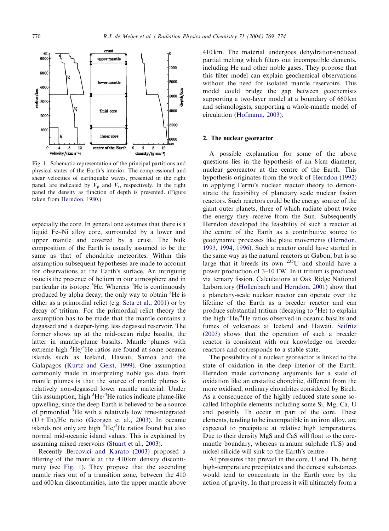<span id="page-1-0"></span>

Fig.1. Schematic representation of the principal partitions and physical states of the Earth's interior.The compressional and shear velocities of earthquake waves, presented in the right panel, are indicated by  $V_p$  and  $V_s$ , respectively. In the right panel the density as function of depth is presented.(Figure taken from [Herndon, 1980.](#page-5-0))

especially the core.In general one assumes that there is a liquid Fe–Ni alloy core, surrounded by a lower and upper mantle and covered by a crust. The bulk composition of the Earth is usually assumed to be the same as that of chondritic meteorites. Within this assumption subsequent hypotheses are made to account for observations at the Earth's surface.An intriguing issue is the presence of helium in our atmosphere and in particular its isotope <sup>3</sup>He. Whereas <sup>4</sup>He is continuously produced by alpha decay, the only way to obtain <sup>3</sup>He is either as a primordial relict (e.g. [Seta et al., 2001\)](#page-5-0) or by decay of tritium. For the primordial relict theory the assumption has to be made that the mantle contains a degassed and a deeper-lying, less degassed reservoir.The former shows up at the mid-ocean ridge basalts, the latter in mantle-plume basalts. Mantle plumes with extreme high  ${}^{3}$ He/ ${}^{4}$ He ratios are found at some oceanic islands such as Iceland, Hawaii, Samoa and the Galapagos ([Kurtz and Geist, 1999](#page-5-0)). One assumption commonly made in interpreting noble gas data from mantle plumes is that the source of mantle plumes is relatively non-degassed lower mantle material. Under this assumption, high  ${}^{3}$ He/ ${}^{4}$ He ratios indicate plume-like upwelling, since the deep Earth is believed to be a source of primordial <sup>3</sup>He with a relatively low time-integrated  $(U+Th)/He$  ratio [\(Georgen et al., 2003\)](#page-5-0). In oceanic islands not only are high  ${}^{3}He/{}^{4}He$  ratios found but also normal mid-oceanic island values.This is explained by assuming mixed reservoirs ([Stuart et al., 2003\)](#page-5-0).

Recently [Bercovici and Karato \(2003\)](#page-5-0) proposed a filtering of the mantle at the 410 km density discontinuity (see Fig. 1). They propose that the ascending mantle rises out of a transition zone, between the 410 and 600 km discontinuities, into the upper mantle above

410 km.The material undergoes dehydration-induced partial melting which filters out incompatible elements, including He and other noble gases.They propose that this filter model can explain geochemical observations without the need for isolated mantle reservoirs. This model could bridge the gap between geochemists supporting a two-layer model at a boundary of 660 km and seismologists, supporting a whole-mantle model of circulation ([Hofmann, 2003](#page-5-0)).

#### 2. The nuclear georeactor

A possible explanation for some of the above questions lies in the hypothesis of an 8 km diameter, nuclear georeactor at the centre of the Earth.This hypothesis originates from the work of [Herndon \(1992\)](#page-5-0) in applying Fermi's nuclear reactor theory to demonstrate the feasibility of planetary scale nuclear fission reactors. Such reactors could be the energy source of the giant outer planets, three of which radiate about twice the energy they receive from the Sun. Subsequently Herndon developed the feasibility of such a reactor at the centre of the Earth as a contributive source to geodynamic processes like plate movements [\(Herndon,](#page-5-0) [1993, 1994, 1996\)](#page-5-0). Such a reactor could have started in the same way as the natural reactors at Gabon, but is so large that it breeds its own  $^{235}$ U and should have a power production of 3–10 TW.In it tritium is produced via ternary fission.Calculations at Oak Ridge National Laboratory ([Hollenbach and Herndon, 2001\)](#page-5-0) show that a planetary-scale nuclear reactor can operate over the lifetime of the Earth as a breeder reactor and can produce substantial tritium (decaying to <sup>3</sup>He) to explain the high <sup>3</sup>He/<sup>4</sup>He ratios observed in oceanic basalts and fumes of volcanoes at Iceland and Hawaii. [Seifritz](#page-5-0) [\(2003\)](#page-5-0) shows that the operation of such a breeder reactor is consistent with our knowledge on breeder reactors and corresponds to a stable state.

The possibility of a nuclear georeactor is linked to the state of oxidation in the deep interior of the Earth. Herndon made convincing arguments for a state of oxidation like an enstatite chondrite, different from the more oxidised, ordinary chondrites considered by Birch. As a consequence of the highly reduced state some socalled lithophile elements including some Si, Mg, Ca, U and possibly Th occur in part of the core. These elements, tending to be incompatible in an iron alloy, are expected to precipitate at relative high temperatures. Due to their density MgS and CaS will float to the coremantle boundary, whereas uranium sulphide (US) and nickel silicide will sink to the Earth's centre.

At pressures that prevail in the core, U and Th, being high-temperature precipitates and the densest substances would tend to concentrate in the Earth core by the action of gravity.In that process it will ultimately form a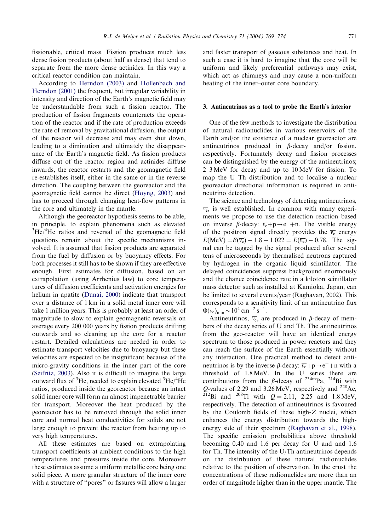fissionable, critical mass. Fission produces much less dense fission products (about half as dense) that tend to separate from the more dense actinides.In this way a critical reactor condition can maintain.

According to [Herndon \(2003\)](#page-5-0) and [Hollenbach and](#page-5-0) [Herndon \(2001\)](#page-5-0) the frequent, but irregular variability in intensity and direction of the Earth's magnetic field may be understandable from such a fission reactor. The production of fission fragments counteracts the operation of the reactor and if the rate of production exceeds the rate of removal by gravitational diffusion, the output of the reactor will decrease and may even shut down, leading to a diminution and ultimately the disappearance of the Earth's magnetic field.As fission products diffuse out of the reactor region and actinides diffuse inwards, the reactor restarts and the geomagnetic field re-establishes itself, either in the same or in the reverse direction.The coupling between the georeactor and the geomagnetic field cannot be direct [\(Hoyng, 2003\)](#page-5-0) and has to proceed through changing heat-flow patterns in the core and ultimately in the mantle.

Although the georeactor hypothesis seems to be able, in principle, to explain phenomena such as elevated  ${}^{3}$ He $/{}^{4}$ He ratios and reversal of the geomagnetic field questions remain about the specific mechanisms involved.It is assumed that fission products are separated from the fuel by diffusion or by buoyancy effects.For both processes it still has to be shown if they are effective enough.First estimates for diffusion, based on an extrapolation (using Arrhenius law) to core temperatures of diffusion coefficients and activation energies for helium in apatite ([Dunai, 2000\)](#page-5-0) indicate that transport over a distance of 1 km in a solid metal inner core will take 1 million years.This is probably at least an order of magnitude to slow to explain geomagnetic reversals on average every 200 000 years by fission products drifting outwards and so cleaning up the core for a reactor restart.Detailed calculations are needed in order to estimate transport velocities due to buoyancy but these velocities are expected to be insignificant because of the micro-gravity conditions in the inner part of the core ([Seifritz, 2003\)](#page-5-0).Also it is difficult to imagine the large outward flux of  ${}^{3}$ He, needed to explain elevated  ${}^{3}$ He $/{}^{4}$ He ratios, produced inside the georeactor because an intact solid inner core will form an almost impenetrable barrier for transport. Moreover the heat produced by the georeactor has to be removed through the solid inner core and normal heat conductivities for solids are not large enough to prevent the reactor from heating up to very high temperatures.

All these estimates are based on extrapolating transport coefficients at ambient conditions to the high temperatures and pressures inside the core. Moreover these estimates assume a uniform metallic core being one solid piece. A more granular structure of the inner core with a structure of ''pores'' or fissures will allow a larger

and faster transport of gaseous substances and heat.In such a case it is hard to imagine that the core will be uniform and likely preferential pathways may exist, which act as chimneys and may cause a non-uniform heating of the inner–outer core boundary.

#### 3. Antineutrinos as a tool to probe the Earth's interior

One of the few methods to investigate the distribution of natural radionuclides in various reservoirs of the Earth and/or the existence of a nuclear georeactor are antineutrinos produced in  $\beta$ -decay and/or fission, respectively.Fortunately decay and fission processes can be distinguished by the energy of the antineutrinos; 2–3 MeV for decay and up to 10 MeV for fission.To map the U–Th distribution and to localise a nuclear georeactor directional information is required in antineutrino detection.

The science and technology of detecting antineutrinos,  $\overline{v_{e}}$ , is well established. In common with many experiments we propose to use the detection reaction based on inverse  $\beta$ -decay:  $\overline{v_e}$ +p→e<sup>+</sup>+n. The visible energy of the positron signal directly provides the  $\overline{v_e}$  energy  $E(MeV) = E(\overline{v_e}) - 1.8 + 1.022 = E(\overline{v_e}) - 0.78$ . The signal can be tagged by the signal produced after several tens of microseconds by thermalised neutrons captured by hydrogen in the organic liquid scintillator. The delayed coincidences suppress background enormously and the chance coincidence rate in a kiloton scintillator mass detector such as installed at Kamioka, Japan, can be limited to several events/year (Raghavan, 2002). This corresponds to a sensitivity limit of an antineutrino flux  $\Phi(\overline{v_{\rm e}})_{\rm min} \sim 10^4 \text{ cm}^{-2} \text{ s}^{-1}.$ 

Antineutrinos,  $\overline{v_e}$ , are produced in  $\beta$ -decay of members of the decay series of U and Th.The antineutrinos from the geo-reactor will have an identical energy spectrum to those produced in power reactors and they can reach the surface of the Earth essentially without any interaction. One practical method to detect antineutrinos is by the inverse  $\beta$ -decay:  $\overline{v_e}$ +p→e<sup>+</sup>+n with a threshold of 1.8 MeV. In the U series there are contributions from the  $\beta$ -decay of <sup>234m</sup>Pa, <sup>214</sup>Bi with Q-values of 2.29 and 3.26 MeV, respectively and <sup>228</sup>Ac, <sup>212</sup>Bi and <sup>208</sup>Tl with  $Q = 2.11$ ; 2.25 and 1.8 MeV, respectively.The detection of antineutrinos is favoured by the Coulomb fields of these high-Z nuclei, which enhances the energy distribution towards the highenergy side of their spectrum ([Raghavan et al., 1998\)](#page-5-0). The specific emission probabilities above threshold becoming 0.40 and 1.6 per decay for U and and 1.6 for Th.The intensity of the U/Th antineutrinos depends on the distribution of these natural radionuclides relative to the position of observation.In the crust the concentrations of these radionuclides are more than an order of magnitude higher than in the upper mantle.The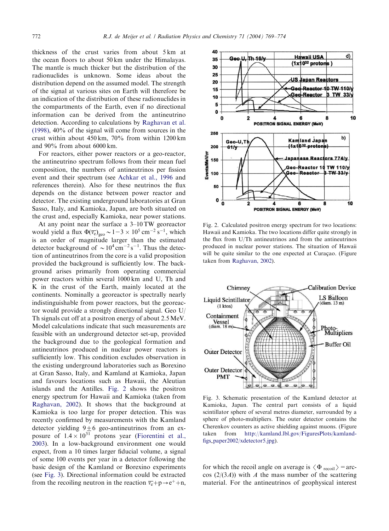thickness of the crust varies from about 5 km at the ocean floors to about 50 km under the Himalayas. The mantle is much thicker but the distribution of the radionuclides is unknown. Some ideas about the distribution depend on the assumed model.The strength of the signal at various sites on Earth will therefore be an indication of the distribution of these radionuclides in the compartments of the Earth, even if no directional information can be derived from the antineutrino detection.According to calculations by [Raghavan et al.](#page-5-0) [\(1998\),](#page-5-0) 40% of the signal will come from sources in the crust within about 450 km, 70% from within 1200 km and 90% from about 6000 km.

For reactors, either power reactors or a geo-reactor, the antineutrino spectrum follows from their mean fuel composition, the numbers of antineutrinos per fission event and their spectrum (see [Achkar et al., 1996](#page-5-0) and references therein). Also for these neutrinos the flux depends on the distance between power reactor and detector.The existing underground laboratories at Gran Sasso, Italy, and Kamioka, Japan, are both situated on the crust and, especially Kamioka, near power stations.

At any point near the surface a 3–10 TW georeactor would yield a flux  $\Phi(\overline{v_e})_{geo} \sim 1-3 \times 10^5 \text{ cm}^{-2} \text{ s}^{-1}$ , which is an order of magnitude larger than the estimated detector background of  $\sim 10^4 \text{ cm}^{-2} \text{ s}^{-1}$ . Thus the detection of antineutrinos from the core is a valid proposition provided the background is sufficiently low.The background arises primarily from operating commercial power reactors within several 1000 km and U, Th and K in the crust of the Earth, mainly located at the continents. Nominally a georeactor is spectrally nearly indistinguishable from power reactors, but the georeactor would provide a strongly directional signal.Geo U/ Th signals cut off at a positron energy of about 2.5 MeV. Model calculations indicate that such measurements are feasible with an underground detector set-up, provided the background due to the geological formation and antineutrinos produced in nuclear power reactors is sufficiently low.This condition excludes observation in the existing underground laboratories such as Borexino at Gran Sasso, Italy, and Kamland at Kamioka, Japan and favours locations such as Hawaii, the Aleutian islands and the Antilles. Fig.2 shows the positron energy spectrum for Hawaii and Kamioka (taken from [Raghavan, 2002](#page-5-0)).It shows that the background at Kamioka is too large for proper detection.This was recently confirmed by measurements with the Kamland detector yielding  $9\pm 6$  geo-antineutrinos from an exposure of  $1.4 \times 10^{31}$  protons year ([Fiorentini et al.,](#page-5-0) [2003\)](#page-5-0).In a low-background environment one would expect, from a 10 times larger fiducial volume, a signal of some 100 events per year in a detector following the basic design of the Kamland or Borexino experiments (see Fig.3).Directional information could be extracted from the recoiling neutron in the reaction  $\overline{v_e} + p \rightarrow e^+ + n$ ,



Fig.2. Calculated positron energy spectrum for two locations: Hawaii and Kamioka.The two locations differ quite strongly in the flux from U/Th antineutrinos and from the antineutrinos produced in nuclear power stations.The situation of Hawaii will be quite similar to the one expected at Curaçao. (Figure taken from [Raghavan, 2002](#page-5-0)).



Fig.3.Schematic presentation of the Kamland detector at Kamioka, Japan. The central part consists of a liquid scintillator sphere of several metres diameter, surrounded by a sphere of photo-multipliers. The outer detector contains the Cherenkov counters as active shielding against muons.(Figure taken from http://kamland.lbl.gov/FiguresPlots/kamlandfigs paper2002/xdetector5.jpg).

for which the recoil angle on average is  $\langle \Phi_{\text{recoil}} \rangle$  = arc- $\cos$  (2/(3*A*)) with *A* the mass number of the scattering material.For the antineutrinos of geophysical interest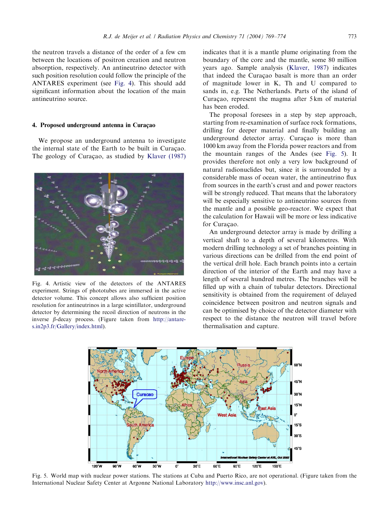the neutron travels a distance of the order of a few cm between the locations of positron creation and neutron absorption, respectively.An antineutrino detector with such position resolution could follow the principle of the ANTARES experiment (see Fig.4).This should add significant information about the location of the main antineutrino source.

## 4. Proposed underground antenna in Curacao

We propose an underground antenna to investigate the internal state of the Earth to be built in Curaçao. The geology of Curaçao, as studied by [Klaver \(1987\)](#page-5-0)



Fig.4.Artistic view of the detectors of the ANTARES experiment.Strings of phototubes are immersed in the active detector volume.This concept allows also sufficient position resolution for antineutrinos in a large scintillator, underground detector by determining the recoil direction of neutrons in the inverse  $\beta$ -decay process. (Figure taken from http://antares.in2p3.fr/Gallery/index.html).

indicates that it is a mantle plume originating from the boundary of the core and the mantle, some 80 million years ago. Sample analysis ([Klaver, 1987\)](#page-5-0) indicates that indeed the Curaçao basalt is more than an order of magnitude lower in K, Th and U compared to sands in, e.g. The Netherlands. Parts of the island of Curação, represent the magma after 5 km of material has been eroded.

The proposal foresees in a step by step approach, starting from re-examination of surface rock formations, drilling for deeper material and finally building an underground detector array. Curaçao is more than 1000 km away from the Florida power reactors and from the mountain ranges of the Andes (see Fig. 5). It provides therefore not only a very low background of natural radionuclides but, since it is surrounded by a considerable mass of ocean water, the antineutrino flux from sources in the earth's crust and and power reactors will be strongly reduced. That means that the laboratory will be especially sensitive to antineutrino sources from the mantle and a possible geo-reactor.We expect that the calculation for Hawaii will be more or less indicative for Curaçao.

An underground detector array is made by drilling a vertical shaft to a depth of several kilometres. With modern drilling technology a set of branches pointing in various directions can be drilled from the end point of the vertical drill hole. Each branch points into a certain direction of the interior of the Earth and may have a length of several hundred metres.The branches will be filled up with a chain of tubular detectors. Directional sensitivity is obtained from the requirement of delayed coincidence between positron and neutron signals and can be optimised by choice of the detector diameter with respect to the distance the neutron will travel before thermalisation and capture.



Fig.5. World map with nuclear power stations.The stations at Cuba and Puerto Rico, are not operational.(Figure taken from the International Nuclear Safety Center at Argonne National Laboratory http://www.insc.anl.gov).